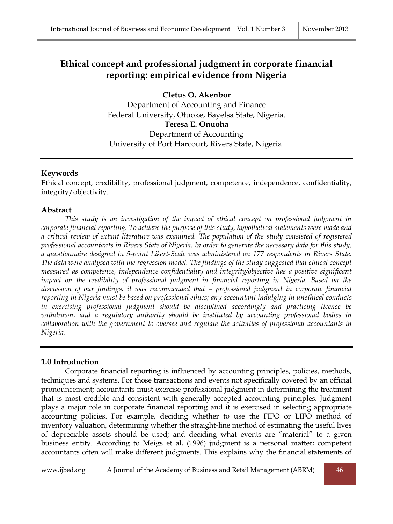# **Ethical concept and professional judgment in corporate financial reporting: empirical evidence from Nigeria**

**Cletus O. Akenbor** Department of Accounting and Finance Federal University, Otuoke, Bayelsa State, Nigeria. **Teresa E. Onuoha** Department of Accounting University of Port Harcourt, Rivers State, Nigeria.

## **Keywords**

Ethical concept, credibility, professional judgment, competence, independence, confidentiality, integrity/objectivity.

## **Abstract**

*This study is an investigation of the impact of ethical concept on professional judgment in corporate financial reporting. To achieve the purpose of this study, hypothetical statements were made and a critical review of extant literature was examined. The population of the study consisted of registered professional accountants in Rivers State of Nigeria. In order to generate the necessary data for this study, a questionnaire designed in 5-point Likert-Scale was administered on 177 respondents in Rivers State. The data were analysed with the regression model. The findings of the study suggested that ethical concept measured as competence, independence confidentiality and integrity/objective has a positive significant impact on the credibility of professional judgment in financial reporting in Nigeria. Based on the discussion of our findings, it was recommended that – professional judgment in corporate financial reporting in Nigeria must be based on professional ethics; any accountant indulging in unethical conducts in exercising professional judgment should be disciplined accordingly and practicing license be withdrawn, and a regulatory authority should be instituted by accounting professional bodies in collaboration with the government to oversee and regulate the activities of professional accountants in Nigeria.*

## **1.0 Introduction**

Corporate financial reporting is influenced by accounting principles, policies, methods, techniques and systems. For those transactions and events not specifically covered by an official pronouncement; accountants must exercise professional judgment in determining the treatment that is most credible and consistent with generally accepted accounting principles. Judgment plays a major role in corporate financial reporting and it is exercised in selecting appropriate accounting policies. For example, deciding whether to use the FIFO or LIFO method of inventory valuation, determining whether the straight-line method of estimating the useful lives of depreciable assets should be used; and deciding what events are "material" to a given business entity. According to Meigs et al, (1996) judgment is a personal matter; competent accountants often will make different judgments. This explains why the financial statements of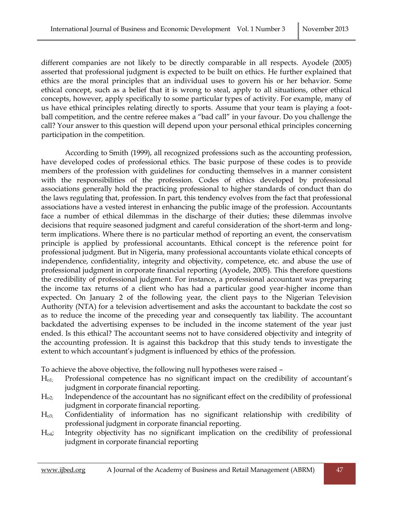different companies are not likely to be directly comparable in all respects. Ayodele (2005) asserted that professional judgment is expected to be built on ethics. He further explained that ethics are the moral principles that an individual uses to govern his or her behavior. Some ethical concept, such as a belief that it is wrong to steal, apply to all situations, other ethical concepts, however, apply specifically to some particular types of activity. For example, many of us have ethical principles relating directly to sports. Assume that your team is playing a football competition, and the centre referee makes a "bad call" in your favour. Do you challenge the call? Your answer to this question will depend upon your personal ethical principles concerning participation in the competition.

According to Smith (1999), all recognized professions such as the accounting profession, have developed codes of professional ethics. The basic purpose of these codes is to provide members of the profession with guidelines for conducting themselves in a manner consistent with the responsibilities of the profession. Codes of ethics developed by professional associations generally hold the practicing professional to higher standards of conduct than do the laws regulating that, profession. In part, this tendency evolves from the fact that professional associations have a vested interest in enhancing the public image of the profession. Accountants face a number of ethical dilemmas in the discharge of their duties; these dilemmas involve decisions that require seasoned judgment and careful consideration of the short-term and longterm implications. Where there is no particular method of reporting an event, the conservatism principle is applied by professional accountants. Ethical concept is the reference point for professional judgment. But in Nigeria, many professional accountants violate ethical concepts of independence, confidentiality, integrity and objectivity, competence, etc. and abuse the use of professional judgment in corporate financial reporting (Ayodele, 2005). This therefore questions the credibility of professional judgment. For instance, a professional accountant was preparing the income tax returns of a client who has had a particular good year-higher income than expected. On January 2 of the following year, the client pays to the Nigerian Television Authority (NTA) for a television advertisement and asks the accountant to backdate the cost so as to reduce the income of the preceding year and consequently tax liability. The accountant backdated the advertising expenses to be included in the income statement of the year just ended. Is this ethical? The accountant seems not to have considered objectivity and integrity of the accounting profession. It is against this backdrop that this study tends to investigate the extent to which accountant's judgment is influenced by ethics of the profession.

To achieve the above objective, the following null hypotheses were raised –

- Ho1; Professional competence has no significant impact on the credibility of accountant's judgment in corporate financial reporting.
- Ho2; Independence of the accountant has no significant effect on the credibility of professional judgment in corporate financial reporting.
- Ho3; Confidentiality of information has no significant relationship with credibility of professional judgment in corporate financial reporting.
- Ho4; Integrity objectivity has no significant implication on the credibility of professional judgment in corporate financial reporting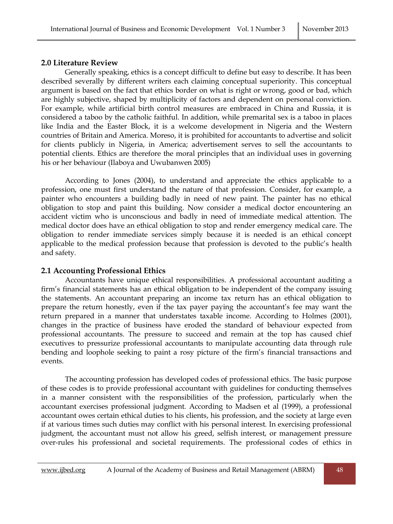#### **2.0 Literature Review**

Generally speaking, ethics is a concept difficult to define but easy to describe. It has been described severally by different writers each claiming conceptual superiority. This conceptual argument is based on the fact that ethics border on what is right or wrong, good or bad, which are highly subjective, shaped by multiplicity of factors and dependent on personal conviction. For example, while artificial birth control measures are embraced in China and Russia, it is considered a taboo by the catholic faithful. In addition, while premarital sex is a taboo in places like India and the Easter Block, it is a welcome development in Nigeria and the Western countries of Britain and America. Moreso, it is prohibited for accountants to advertise and solicit for clients publicly in Nigeria, in America; advertisement serves to sell the accountants to potential clients. Ethics are therefore the moral principles that an individual uses in governing his or her behaviour (Ilaboya and Uwubanwen 2005)

According to Jones (2004), to understand and appreciate the ethics applicable to a profession, one must first understand the nature of that profession. Consider, for example, a painter who encounters a building badly in need of new paint. The painter has no ethical obligation to stop and paint this building. Now consider a medical doctor encountering an accident victim who is unconscious and badly in need of immediate medical attention. The medical doctor does have an ethical obligation to stop and render emergency medical care. The obligation to render immediate services simply because it is needed is an ethical concept applicable to the medical profession because that profession is devoted to the public's health and safety.

## **2.1 Accounting Professional Ethics**

Accountants have unique ethical responsibilities. A professional accountant auditing a firm's financial statements has an ethical obligation to be independent of the company issuing the statements. An accountant preparing an income tax return has an ethical obligation to prepare the return honestly, even if the tax payer paying the accountant's fee may want the return prepared in a manner that understates taxable income. According to Holmes (2001), changes in the practice of business have eroded the standard of behaviour expected from professional accountants. The pressure to succeed and remain at the top has caused chief executives to pressurize professional accountants to manipulate accounting data through rule bending and loophole seeking to paint a rosy picture of the firm's financial transactions and events.

The accounting profession has developed codes of professional ethics. The basic purpose of these codes is to provide professional accountant with guidelines for conducting themselves in a manner consistent with the responsibilities of the profession, particularly when the accountant exercises professional judgment. According to Madsen et al (1999), a professional accountant owes certain ethical duties to his clients, his profession, and the society at large even if at various times such duties may conflict with his personal interest. In exercising professional judgment, the accountant must not allow his greed, selfish interest, or management pressure over-rules his professional and societal requirements. The professional codes of ethics in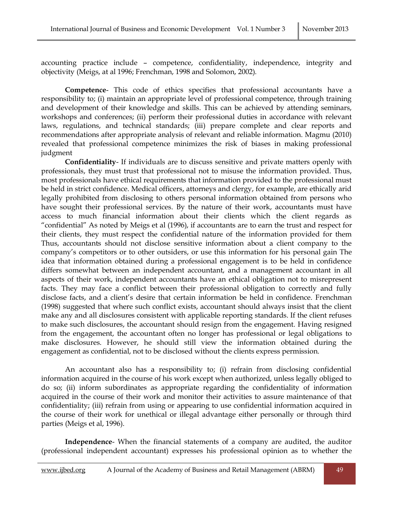accounting practice include – competence, confidentiality, independence, integrity and objectivity (Meigs, at al 1996; Frenchman, 1998 and Solomon, 2002).

**Competence**- This code of ethics specifies that professional accountants have a responsibility to; (i) maintain an appropriate level of professional competence, through training and development of their knowledge and skills. This can be achieved by attending seminars, workshops and conferences; (ii) perform their professional duties in accordance with relevant laws, regulations, and technical standards; (iii) prepare complete and clear reports and recommendations after appropriate analysis of relevant and reliable information. Magmu (2010) revealed that professional competence minimizes the risk of biases in making professional judgment

**Confidentiality**- If individuals are to discuss sensitive and private matters openly with professionals, they must trust that professional not to misuse the information provided. Thus, most professionals have ethical requirements that information provided to the professional must be held in strict confidence. Medical officers, attorneys and clergy, for example, are ethically arid legally prohibited from disclosing to others personal information obtained from persons who have sought their professional services. By the nature of their work, accountants must have access to much financial information about their clients which the client regards as "confidential" As noted by Meigs et al (1996), if accountants are to earn the trust and respect for their clients, they must respect the confidential nature of the information provided for them Thus, accountants should not disclose sensitive information about a client company to the company's competitors or to other outsiders, or use this information for his personal gain The idea that information obtained during a professional engagement is to be held in confidence differs somewhat between an independent accountant, and a management accountant in all aspects of their work, independent accountants have an ethical obligation not to misrepresent facts. They may face a conflict between their professional obligation to correctly and fully disclose facts, and a client's desire that certain information be held in confidence. Frenchman (1998) suggested that where such conflict exists, accountant should always insist that the client make any and all disclosures consistent with applicable reporting standards. If the client refuses to make such disclosures, the accountant should resign from the engagement. Having resigned from the engagement, the accountant often no longer has professional or legal obligations to make disclosures. However, he should still view the information obtained during the engagement as confidential, not to be disclosed without the clients express permission.

An accountant also has a responsibility to; (i) refrain from disclosing confidential information acquired in the course of his work except when authorized, unless legally obliged to do so; (ii) inform subordinates as appropriate regarding the confidentiality of information acquired in the course of their work and monitor their activities to assure maintenance of that confidentiality; (iii) refrain from using or appearing to use confidential information acquired in the course of their work for unethical or illegal advantage either personally or through third parties (Meigs et al, 1996).

**Independence**- When the financial statements of a company are audited, the auditor (professional independent accountant) expresses his professional opinion as to whether the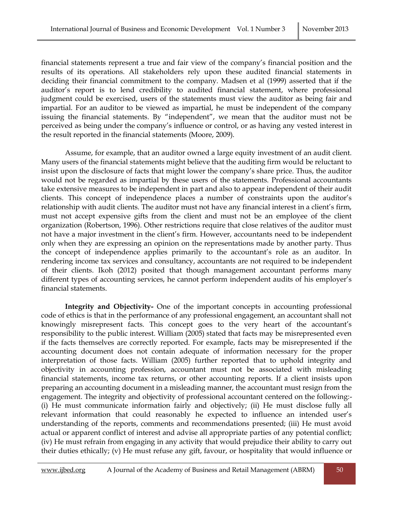financial statements represent a true and fair view of the company's financial position and the results of its operations. All stakeholders rely upon these audited financial statements in deciding their financial commitment to the company. Madsen et al (1999) asserted that if the auditor's report is to lend credibility to audited financial statement, where professional judgment could be exercised, users of the statements must view the auditor as being fair and impartial. For an auditor to be viewed as impartial, he must be independent of the company issuing the financial statements. By "independent", we mean that the auditor must not be perceived as being under the company's influence or control, or as having any vested interest in the result reported in the financial statements (Moore, 2009).

Assume, for example, that an auditor owned a large equity investment of an audit client. Many users of the financial statements might believe that the auditing firm would be reluctant to insist upon the disclosure of facts that might lower the company's share price. Thus, the auditor would not be regarded as impartial by these users of the statements. Professional accountants take extensive measures to be independent in part and also to appear independent of their audit clients. This concept of independence places a number of constraints upon the auditor's relationship with audit clients. The auditor must not have any financial interest in a client's firm, must not accept expensive gifts from the client and must not be an employee of the client organization (Robertson, 1996). Other restrictions require that close relatives of the auditor must not have a major investment in the client's firm. However, accountants need to be independent only when they are expressing an opinion on the representations made by another party. Thus the concept of independence applies primarily to the accountant's role as an auditor. In rendering income tax services and consultancy, accountants are not required to be independent of their clients. Ikoh (2012) posited that though management accountant performs many different types of accounting services, he cannot perform independent audits of his employer's financial statements.

**Integrity and Objectivity-** One of the important concepts in accounting professional code of ethics is that in the performance of any professional engagement, an accountant shall not knowingly misrepresent facts. This concept goes to the very heart of the accountant's responsibility to the public interest. William (2005) stated that facts may be misrepresented even if the facts themselves are correctly reported. For example, facts may be misrepresented if the accounting document does not contain adequate of information necessary for the proper interpretation of those facts. William (2005) further reported that to uphold integrity and objectivity in accounting profession, accountant must not be associated with misleading financial statements, income tax returns, or other accounting reports. If a client insists upon preparing an accounting document in a misleading manner, the accountant must resign from the engagement. The integrity and objectivity of professional accountant centered on the following:- (i) He must communicate information fairly and objectively; (ii) He must disclose fully all relevant information that could reasonably he expected to influence an intended user's understanding of the reports, comments and recommendations presented; (iii) He must avoid actual or apparent conflict of interest and advise all appropriate parties of any potential conflict; (iv) He must refrain from engaging in any activity that would prejudice their ability to carry out their duties ethically; (v) He must refuse any gift, favour, or hospitality that would influence or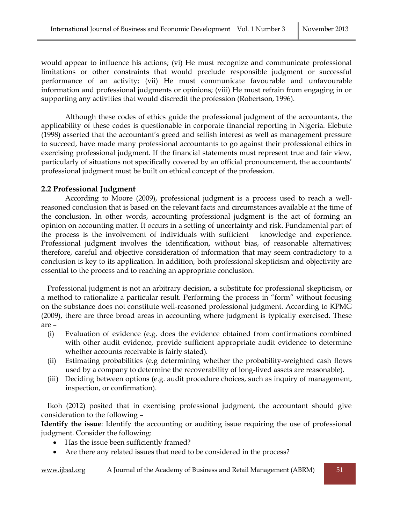would appear to influence his actions; (vi) He must recognize and communicate professional limitations or other constraints that would preclude responsible judgment or successful performance of an activity; (vii) He must communicate favourable and unfavourable information and professional judgments or opinions; (viii) He must refrain from engaging in or supporting any activities that would discredit the profession (Robertson, 1996).

Although these codes of ethics guide the professional judgment of the accountants, the applicability of these codes is questionable in corporate financial reporting in Nigeria. Elebute (1998) asserted that the accountant's greed and selfish interest as well as management pressure to succeed, have made many professional accountants to go against their professional ethics in exercising professional judgment. If the financial statements must represent true and fair view, particularly of situations not specifically covered by an official pronouncement, the accountants' professional judgment must be built on ethical concept of the profession.

## **2.2 Professional Judgment**

According to Moore (2009), professional judgment is a process used to reach a wellreasoned conclusion that is based on the relevant facts and circumstances available at the time of the conclusion. In other words, accounting professional judgment is the act of forming an opinion on accounting matter. It occurs in a setting of uncertainty and risk. Fundamental part of the process is the involvement of individuals with sufficient knowledge and experience. Professional judgment involves the identification, without bias, of reasonable alternatives; therefore, careful and objective consideration of information that may seem contradictory to a conclusion is key to its application. In addition, both professional skepticism and objectivity are essential to the process and to reaching an appropriate conclusion.

Professional judgment is not an arbitrary decision, a substitute for professional skepticism, or a method to rationalize a particular result. Performing the process in "form" without focusing on the substance does not constitute well-reasoned professional judgment. According to KPMG (2009), there are three broad areas in accounting where judgment is typically exercised. These are –

- (i) Evaluation of evidence (e.g. does the evidence obtained from confirmations combined with other audit evidence, provide sufficient appropriate audit evidence to determine whether accounts receivable is fairly stated).
- (ii) Estimating probabilities (e.g determining whether the probability-weighted cash flows used by a company to determine the recoverability of long-lived assets are reasonable).
- (iii) Deciding between options (e.g. audit procedure choices, such as inquiry of management, inspection, or confirmation).

Ikoh (2012) posited that in exercising professional judgment, the accountant should give consideration to the following –

**Identify the issue**: Identify the accounting or auditing issue requiring the use of professional judgment. Consider the following:

- Has the issue been sufficiently framed?
- Are there any related issues that need to be considered in the process?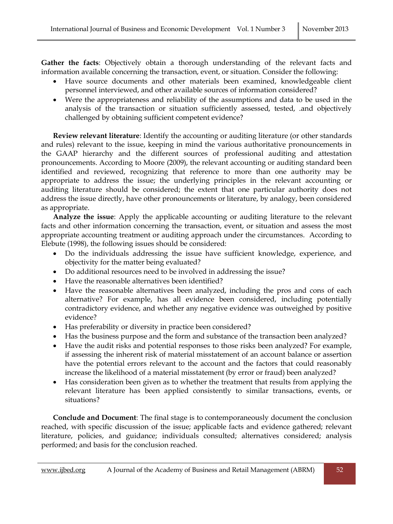**Gather the facts**: Objectively obtain a thorough understanding of the relevant facts and information available concerning the transaction, event, or situation. Consider the following:

- Have source documents and other materials been examined, knowledgeable client personnel interviewed, and other available sources of information considered?
- Were the appropriateness and reliability of the assumptions and data to be used in the analysis of the transaction or situation sufficiently assessed, tested, .and objectively challenged by obtaining sufficient competent evidence?

**Review relevant literature**: Identify the accounting or auditing literature (or other standards and rules) relevant to the issue, keeping in mind the various authoritative pronouncements in the GAAP hierarchy and the different sources of professional auditing and attestation pronouncements. According to Moore (2009), the relevant accounting or auditing standard been identified and reviewed, recognizing that reference to more than one authority may be appropriate to address the issue; the underlying principles in the relevant accounting or auditing literature should be considered; the extent that one particular authority does not address the issue directly, have other pronouncements or literature, by analogy, been considered as appropriate.

**Analyze the issue**: Apply the applicable accounting or auditing literature to the relevant facts and other information concerning the transaction, event, or situation and assess the most appropriate accounting treatment or auditing approach under the circumstances. According to Elebute (1998), the following issues should be considered:

- Do the individuals addressing the issue have sufficient knowledge, experience, and objectivity for the matter being evaluated?
- Do additional resources need to be involved in addressing the issue?
- Have the reasonable alternatives been identified?
- Have the reasonable alternatives been analyzed, including the pros and cons of each alternative? For example, has all evidence been considered, including potentially contradictory evidence, and whether any negative evidence was outweighed by positive evidence?
- Has preferability or diversity in practice been considered?
- Has the business purpose and the form and substance of the transaction been analyzed?
- Have the audit risks and potential responses to those risks been analyzed? For example, if assessing the inherent risk of material misstatement of an account balance or assertion have the potential errors relevant to the account and the factors that could reasonably increase the likelihood of a material misstatement (by error or fraud) been analyzed?
- Has consideration been given as to whether the treatment that results from applying the relevant literature has been applied consistently to similar transactions, events, or situations?

**Conclude and Document**: The final stage is to contemporaneously document the conclusion reached, with specific discussion of the issue; applicable facts and evidence gathered; relevant literature, policies, and guidance; individuals consulted; alternatives considered; analysis performed; and basis for the conclusion reached.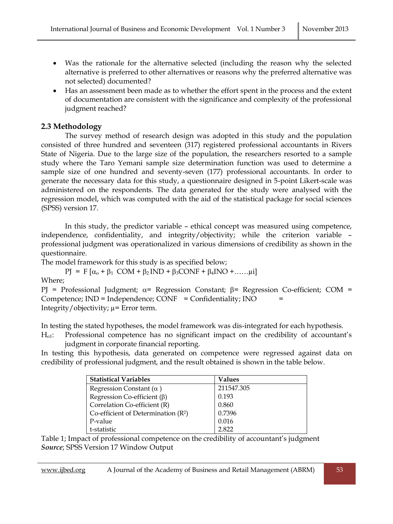- Was the rationale for the alternative selected (including the reason why the selected alternative is preferred to other alternatives or reasons why the preferred alternative was not selected) documented?
- Has an assessment been made as to whether the effort spent in the process and the extent of documentation are consistent with the significance and complexity of the professional judgment reached?

## **2.3 Methodology**

The survey method of research design was adopted in this study and the population consisted of three hundred and seventeen (317) registered professional accountants in Rivers State of Nigeria. Due to the large size of the population, the researchers resorted to a sample study where the Taro Yemani sample size determination function was used to determine a sample size of one hundred and seventy-seven (177) professional accountants. In order to generate the necessary data for this study, a questionnaire designed in 5-point Likert-scale was administered on the respondents. The data generated for the study were analysed with the regression model, which was computed with the aid of the statistical package for social sciences (SPSS) version 17.

In this study, the predictor variable – ethical concept was measured using competence, independence, confidentiality, and integrity/objectivity; while the criterion variable – professional judgment was operationalized in various dimensions of credibility as shown in the questionnaire.

The model framework for this study is as specified below;

$$
PJ = F [\alpha_o + \beta_1 \text{ COM} + \beta_2 \text{IND} + \beta_3 \text{CONF} + \beta_4 \text{INO} + \dots \dots \mu i]
$$

Where;

```
PJ = Professional Judgment; \alpha= Regression Constant; \beta= Regression Co-efficient; COM =
Competence; IND = Independence; CONF = Conflict = Condition; INOIntegrity/objectivity; \mu= Error term.
```
In testing the stated hypotheses, the model framework was dis-integrated for each hypothesis.

Ho1: Professional competence has no significant impact on the credibility of accountant's judgment in corporate financial reporting.

In testing this hypothesis, data generated on competence were regressed against data on credibility of professional judgment, and the result obtained is shown in the table below.

| <b>Statistical Variables</b>          | Values     |
|---------------------------------------|------------|
| Regression Constant $(\alpha)$        | 211547.305 |
| Regression Co-efficient $(\beta)$     | 0.193      |
| Correlation Co-efficient (R)          | 0.860      |
| Co-efficient of Determination $(R^2)$ | 0.7396     |
| P-value                               | 0.016      |
| t-statistic                           | 2822       |

Table 1; Impact of professional competence on the credibility of accountant's judgment *Source*; SPSS Version 17 Window Output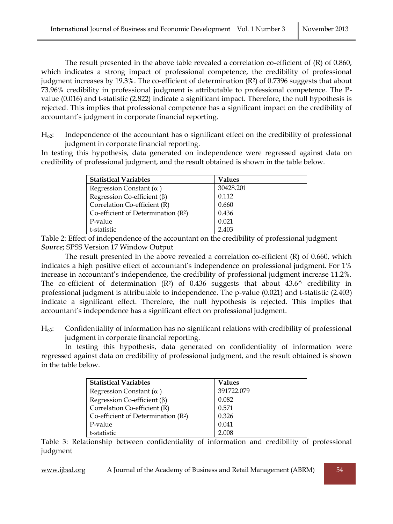The result presented in the above table revealed a correlation co-efficient of (R) of 0.860, which indicates a strong impact of professional competence, the credibility of professional judgment increases by 19.3%. The co-efficient of determination (R2) of 0.7396 suggests that about 73.96% credibility in professional judgment is attributable to professional competence. The Pvalue (0.016) and t-statistic (2.822) indicate a significant impact. Therefore, the null hypothesis is rejected. This implies that professional competence has a significant impact on the credibility of accountant's judgment in corporate financial reporting.

Ho2: Independence of the accountant has o significant effect on the credibility of professional judgment in corporate financial reporting.

In testing this hypothesis, data generated on independence were regressed against data on credibility of professional judgment, and the result obtained is shown in the table below.

| <b>Statistical Variables</b>          | Values    |
|---------------------------------------|-----------|
| Regression Constant $(\alpha)$        | 30428.201 |
| Regression Co-efficient $(\beta)$     | 0.112     |
| Correlation Co-efficient (R)          | 0.660     |
| Co-efficient of Determination $(R^2)$ | 0.436     |
| P-value                               | 0.021     |
| t-statistic                           | 2.403     |

Table 2: Effect of independence of the accountant on the credibility of professional judgment *Source*; SPSS Version 17 Window Output

The result presented in the above revealed a correlation co-efficient (R) of 0.660, which indicates a high positive effect of accountant's independence on professional judgment. For 1% increase in accountant's independence, the credibility of professional judgment increase 11.2%. The co-efficient of determination  $(R^2)$  of 0.436 suggests that about 43.6<sup>^</sup> credibility in professional judgment is attributable to independence. The p-value (0.021) and t-statistic (2.403) indicate a significant effect. Therefore, the null hypothesis is rejected. This implies that accountant's independence has a significant effect on professional judgment.

Ho3: Confidentiality of information has no significant relations with credibility of professional judgment in corporate financial reporting.

In testing this hypothesis, data generated on confidentiality of information were regressed against data on credibility of professional judgment, and the result obtained is shown in the table below.

| <b>Statistical Variables</b>          | Values     |
|---------------------------------------|------------|
| Regression Constant $(\alpha)$        | 391722.079 |
| Regression Co-efficient $(\beta)$     | 0.082      |
| Correlation Co-efficient (R)          | 0.571      |
| Co-efficient of Determination $(R^2)$ | 0.326      |
| P-value                               | 0.041      |
| t-statistic                           | 2.008      |

Table 3: Relationship between confidentiality of information and credibility of professional judgment

www.ijbed.org A Journal of the Academy of Business and Retail Management (ABRM) 54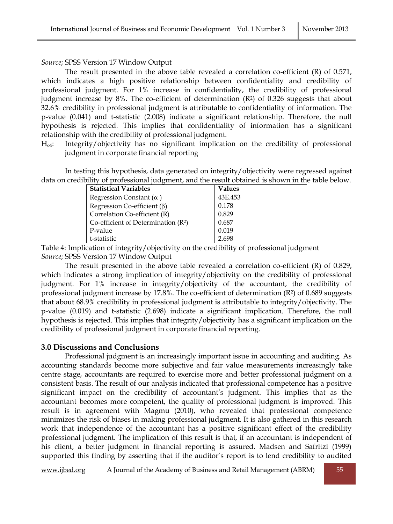#### *Source*; SPSS Version 17 Window Output

The result presented in the above table revealed a correlation co-efficient (R) of 0.571, which indicates a high positive relationship between confidentiality and credibility of professional judgment. For 1% increase in confidentiality, the credibility of professional judgment increase by 8%. The co-efficient of determination  $(R<sup>2</sup>)$  of 0.326 suggests that about 32.6% credibility in professional judgment is attributable to confidentiality of information. The p-value (0.041) and t-statistic (2.008) indicate a significant relationship. Therefore, the null hypothesis is rejected. This implies that confidentiality of information has a significant relationship with the credibility of professional judgment.

Ho4: Integrity/objectivity has no significant implication on the credibility of professional judgment in corporate financial reporting

In testing this hypothesis, data generated on integrity/objectivity were regressed against data on credibility of professional judgment, and the result obtained is shown in the table below.

| <b>Statistical Variables</b>          | <b>Values</b> |
|---------------------------------------|---------------|
| Regression Constant $(\alpha)$        | 43E.453       |
| Regression Co-efficient $(\beta)$     | 0.178         |
| Correlation Co-efficient (R)          | 0.829         |
| Co-efficient of Determination $(R^2)$ | 0.687         |
| P-value                               | 0.019         |
| t-statistic                           | 2.698         |

Table 4: Implication of integrity/objectivity on the credibility of professional judgment *Source*; SPSS Version 17 Window Output

The result presented in the above table revealed a correlation co-efficient (R) of 0.829, which indicates a strong implication of integrity/objectivity on the credibility of professional judgment. For 1% increase in integrity/objectivity of the accountant, the credibility of professional judgment increase by 17.8%. The co-efficient of determination (R2) of 0.689 suggests that about 68.9% credibility in professional judgment is attributable to integrity/objectivity. The p-value (0.019) and t-statistic (2.698) indicate a significant implication. Therefore, the null hypothesis is rejected. This implies that integrity/objectivity has a significant implication on the credibility of professional judgment in corporate financial reporting.

## **3.0 Discussions and Conclusions**

Professional judgment is an increasingly important issue in accounting and auditing. As accounting standards become more subjective and fair value measurements increasingly take centre stage, accountants are required to exercise more and better professional judgment on a consistent basis. The result of our analysis indicated that professional competence has a positive significant impact on the credibility of accountant's judgment. This implies that as the accountant becomes more competent, the quality of professional judgment is improved. This result is in agreement with Magmu (2010), who revealed that professional competence minimizes the risk of biases in making professional judgment. It is also gathered in this research work that independence of the accountant has a positive significant effect of the credibility professional judgment. The implication of this result is that, if an accountant is independent of his client, a better judgment in financial reporting is assured. Madsen and Safritzi (1999) supported this finding by asserting that if the auditor's report is to lend credibility to audited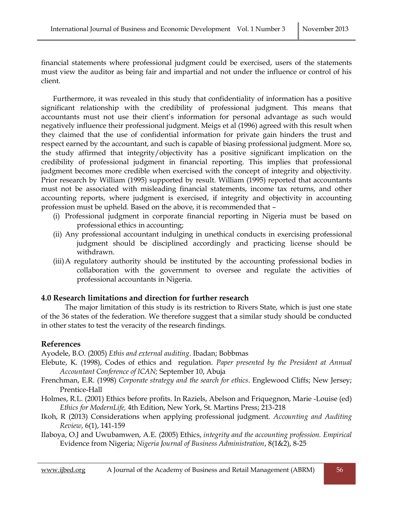financial statements where professional judgment could be exercised, users of the statements must view the auditor as being fair and impartial and not under the influence or control of his client.

Furthermore, it was revealed in this study that confidentiality of information has a positive significant relationship with the credibility of professional judgment. This means that accountants must not use their client's information for personal advantage as such would negatively influence their professional judgment. Meigs et al (1996) agreed with this result when they claimed that the use of confidential information for private gain hinders the trust and respect earned by the accountant, and such is capable of biasing professional judgment. More so, the study affirmed that integrity/objectivity has a positive significant implication on the credibility of professional judgment in financial reporting. This implies that professional judgment becomes more credible when exercised with the concept of integrity and objectivity. Prior research by William (1995) supported by result. William (1995) reported that accountants must not be associated with misleading financial statements, income tax returns, and other accounting reports, where judgment is exercised, if integrity and objectivity in accounting profession must be upheld. Based on the above, it is recommended that –

- (i) Professional judgment in corporate financial reporting in Nigeria must be based on professional ethics in accounting;
- (ii) Any professional accountant indulging in unethical conducts in exercising professional judgment should be disciplined accordingly and practicing license should be withdrawn.
- (iii)A regulatory authority should be instituted by the accounting professional bodies in collaboration with the government to oversee and regulate the activities of professional accountants in Nigeria.

## **4.0 Research limitations and direction for further research**

The major limitation of this study is its restriction to Rivers State, which is just one state of the 36 states of the federation. We therefore suggest that a similar study should be conducted in other states to test the veracity of the research findings.

## **References**

Ayodele, B.O. (2005) *Ethis and external auditing*. Ibadan; Bobbmas

- Elebute, K. (1998), Codes of ethics and regulation. *Paper presented by the President at Annual Accountant Conference of ICAN;* September 10, Abuja
- Frenchman, E.R. (1998) *Corporate strategy and the search for ethics*. Englewood Cliffs; New Jersey; Prentice-Hall
- Holmes, R.L. (2001) Ethics before profits. In Raziels, Abelson and Friquegnon, Marie -Louise (ed) *Ethics for ModernLife,* 4th Edition, New York, St. Martins Press; 213-218
- Ikoh, R (2013) Considerations when applying professional judgment. *Accounting and Auditing Review*, 6(1), 141-159
- Ilaboya, O.J and Uwubamwen, A.E. (2005) Ethics, *integrity and the accounting profession. Empirical* Evidence from Nigeria; *Nigeria Journal of Business Administration*, 8(1&2), 8-25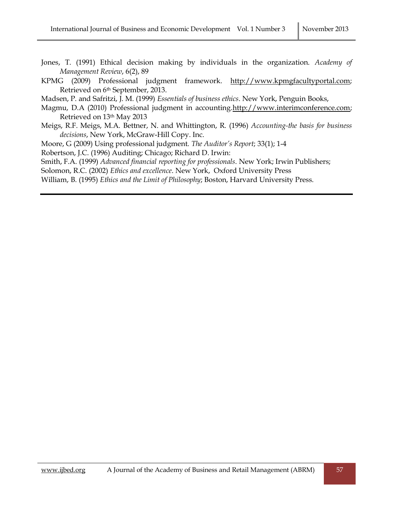- Jones, T. (1991) Ethical decision making by individuals in the organization. *Academy of Management Review*, 6(2), 89
- KPMG (2009) Professional judgment framework. [http://www.kpmgfacultyportal.com;](http://www.kpmgfacultyportal.com/) Retrieved on 6th September, 2013.
- Madsen, P. and Safritzi, J. M. (1999) *Essentials of business ethics*. New York, Penguin Books,
- Magmu, D.A (2010) Professional judgment in accounting[.http://www.interimconference.com;](http://www.interimconference.com/) Retrieved on 13th May 2013
- Meigs, R.F. Meigs, M.A. Bettner, N. and Whittington, R. (1996) *Accounting-the basis for business decisions*, New York, McGraw-Hill Copy. Inc.
- Moore, G (2009) Using professional judgment. *The Auditor's Report*; 33(1); 1-4
- Robertson, J.C. (1996) Auditing; Chicago; Richard D. Irwin:
- Smith, F.A. (1999) *Advanced financial reporting for professionals*. New York; Irwin Publishers;
- Solomon, R.C. (2002) *Ethics and excellence*. New York, Oxford University Press
- William, B. (1995) *Ethics and the Limit of Philosophy*; Boston, Harvard University Press.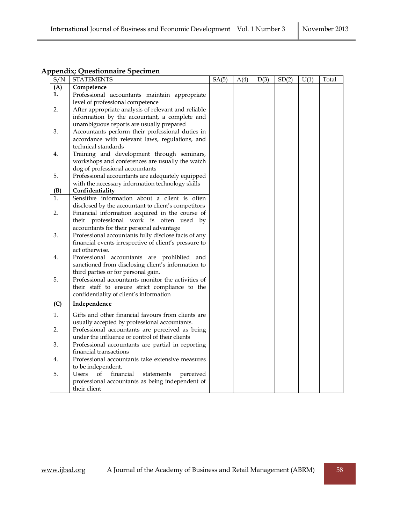## **Appendix; Questionnaire Specimen**

| S/N | <b>STATEMENTS</b>                                                                         | SA(5) | A(4) | D(3) | SD(2) | U(1) | Total |
|-----|-------------------------------------------------------------------------------------------|-------|------|------|-------|------|-------|
| (A) | Competence                                                                                |       |      |      |       |      |       |
| 1.  | Professional accountants maintain appropriate                                             |       |      |      |       |      |       |
|     | level of professional competence                                                          |       |      |      |       |      |       |
| 2.  | After appropriate analysis of relevant and reliable                                       |       |      |      |       |      |       |
|     | information by the accountant, a complete and                                             |       |      |      |       |      |       |
|     | unambiguous reports are usually prepared                                                  |       |      |      |       |      |       |
| 3.  | Accountants perform their professional duties in                                          |       |      |      |       |      |       |
|     | accordance with relevant laws, regulations, and                                           |       |      |      |       |      |       |
|     | technical standards                                                                       |       |      |      |       |      |       |
| 4.  | Training and development through seminars,                                                |       |      |      |       |      |       |
|     | workshops and conferences are usually the watch                                           |       |      |      |       |      |       |
|     | dog of professional accountants                                                           |       |      |      |       |      |       |
| 5.  | Professional accountants are adequately equipped                                          |       |      |      |       |      |       |
|     | with the necessary information technology skills                                          |       |      |      |       |      |       |
| (B) | Confidentiality                                                                           |       |      |      |       |      |       |
| 1.  | Sensitive information about a client is often                                             |       |      |      |       |      |       |
|     | disclosed by the accountant to client's competitors                                       |       |      |      |       |      |       |
| 2.  | Financial information acquired in the course of                                           |       |      |      |       |      |       |
|     | their professional work is often used by                                                  |       |      |      |       |      |       |
|     | accountants for their personal advantage                                                  |       |      |      |       |      |       |
| 3.  | Professional accountants fully disclose facts of any                                      |       |      |      |       |      |       |
|     | financial events irrespective of client's pressure to                                     |       |      |      |       |      |       |
|     | act otherwise.                                                                            |       |      |      |       |      |       |
| 4.  | Professional accountants are prohibited and                                               |       |      |      |       |      |       |
|     | sanctioned from disclosing client's information to                                        |       |      |      |       |      |       |
| 5.  | third parties or for personal gain.<br>Professional accountants monitor the activities of |       |      |      |       |      |       |
|     |                                                                                           |       |      |      |       |      |       |
|     | their staff to ensure strict compliance to the                                            |       |      |      |       |      |       |
|     | confidentiality of client's information                                                   |       |      |      |       |      |       |
| (C) | Independence                                                                              |       |      |      |       |      |       |
| 1.  | Gifts and other financial favours from clients are                                        |       |      |      |       |      |       |
|     | usually accepted by professional accountants.                                             |       |      |      |       |      |       |
| 2.  | Professional accountants are perceived as being                                           |       |      |      |       |      |       |
|     | under the influence or control of their clients                                           |       |      |      |       |      |       |
| 3.  | Professional accountants are partial in reporting                                         |       |      |      |       |      |       |
|     | financial transactions                                                                    |       |      |      |       |      |       |
| 4.  | Professional accountants take extensive measures                                          |       |      |      |       |      |       |
|     | to be independent.                                                                        |       |      |      |       |      |       |
| 5.  | Users<br>financial<br>οf<br>statements<br>perceived                                       |       |      |      |       |      |       |
|     | professional accountants as being independent of                                          |       |      |      |       |      |       |
|     | their client                                                                              |       |      |      |       |      |       |